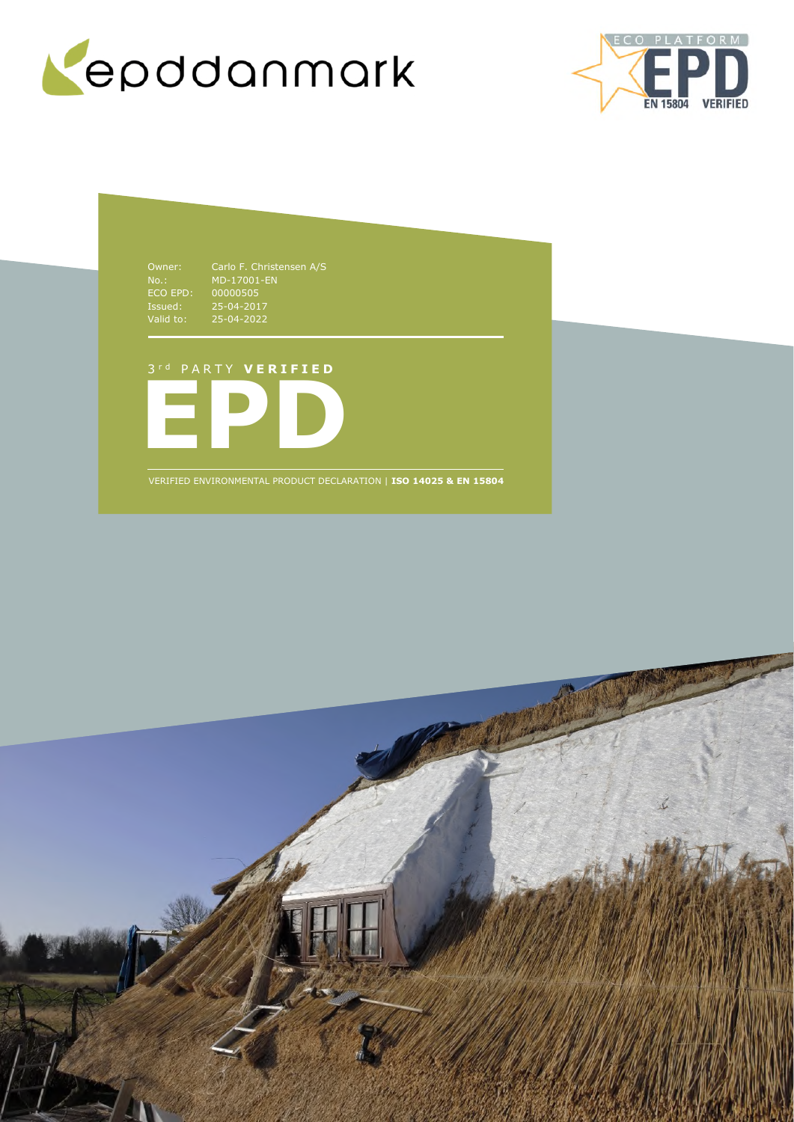



NO..<br>ECO EPD:<br>Issued:<br>Valid to: Issued: 25-04-2017 Valid to: 25-04-2022

Owner: Carlo F. Christensen A/S MD-17001-EN 00000505

# 3 r d P A R T Y **V E R I F I E D**



VERIFIED ENVIRONMENTAL PRODUCT DECLARATION | **ISO 14025 & EN 15804**

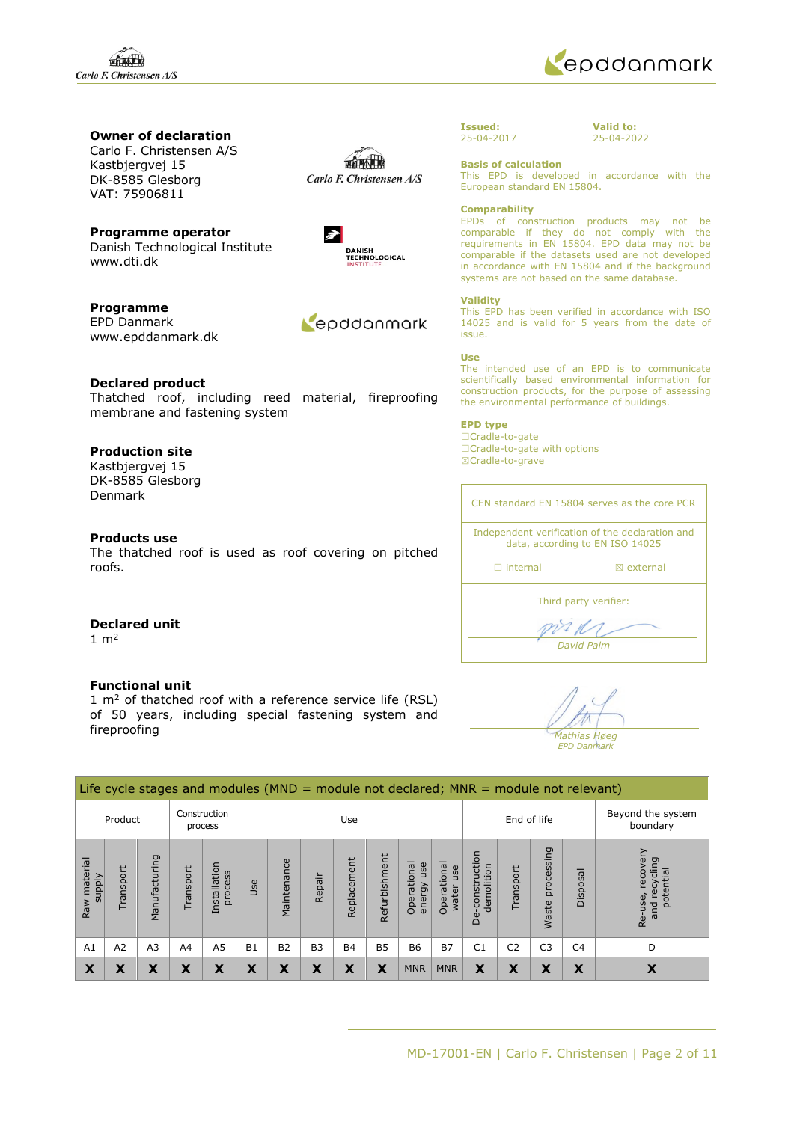

## **Owner of declaration**

Carlo F. Christensen A/S Kastbjergvej 15 DK-8585 Glesborg VAT: 75906811

**Programme operator**  Danish Technological Institute www.dti.dk

**Programme**  EPD Danmark www.epddanmark.dk

Repodanmark

**Declared product**  Thatched roof, including reed material, fireproofing membrane and fastening system

### **Production site**

Kastbjergvej 15 DK-8585 Glesborg Denmark

### **Products use**

The thatched roof is used as roof covering on pitched roofs.

| Carlo F. Christensen A/S |
|--------------------------|
|                          |
|                          |

Lan



**Issued:** 25-04-2017 **Valid to:** 25-04-2022

### **Basis of calculation**

This EPD is developed in accordance with the European standard EN 15804.

#### **Comparability**

EPDs of construction products may not be comparable if they do not comply with the requirements in EN 15804. EPD data may not be comparable if the datasets used are not developed in accordance with EN 15804 and if the background systems are not based on the same database.

#### **Validity**

This EPD has been verified in accordance with ISO 14025 and is valid for 5 years from the date of issue.

#### **Use**

The intended use of an EPD is to communicate scientifically based environmental information for construction products, for the purpose of assessing the environmental performance of buildings.

### **EPD type**

☐Cradle-to-gate ☐Cradle-to-gate with options ☒Cradle-to-grave

CEN standard EN 15804 serves as the core PCR Independent verification of the declaration and data, according to EN ISO 14025 □ internal **a** external

Third party verifier:

V V *David Palm* 

**Declared unit**   $1 \text{ m}^2$ 

### **Functional unit**

1  $m<sup>2</sup>$  of thatched roof with a reference service life (RSL) of 50 years, including special fastening system and fireproofing

*Mathias Høeg EPD Danmark*

#### Life cycle stages and modules (MND = module not declared; MNR = module not relevant) Product Construction Use End of life Beyond the system process boundary processing Waste processing Re-use, recovery De-construction Re-use, recovery De-construction Manufacturing Refurbishment Refurbishment Manufacturing material Replacement Replacement and recycling potential Maintenance Operational Operational energy use Operational Operational Installation water use demolition Transport Transport Transport process supply Disposal Repair Use Waste p Raw A1 | A2 | A3 | A4 | A5 | B1 | B2 | B3 | B4 | B5 | B6 | B7 | C1 | C2 | C3 | C4 | D  $\textbf{X} \parallel \textbf{X} \parallel \textbf{X} \parallel \textbf{X} \parallel \textbf{X} \parallel \textbf{X} \parallel \textbf{X} \parallel \textbf{X} \parallel \textbf{X} \parallel \text{MNR} \parallel \textbf{MNR} \parallel \textbf{X} \parallel \textbf{X} \parallel \textbf{X} \parallel \textbf{X} \parallel \textbf{X}$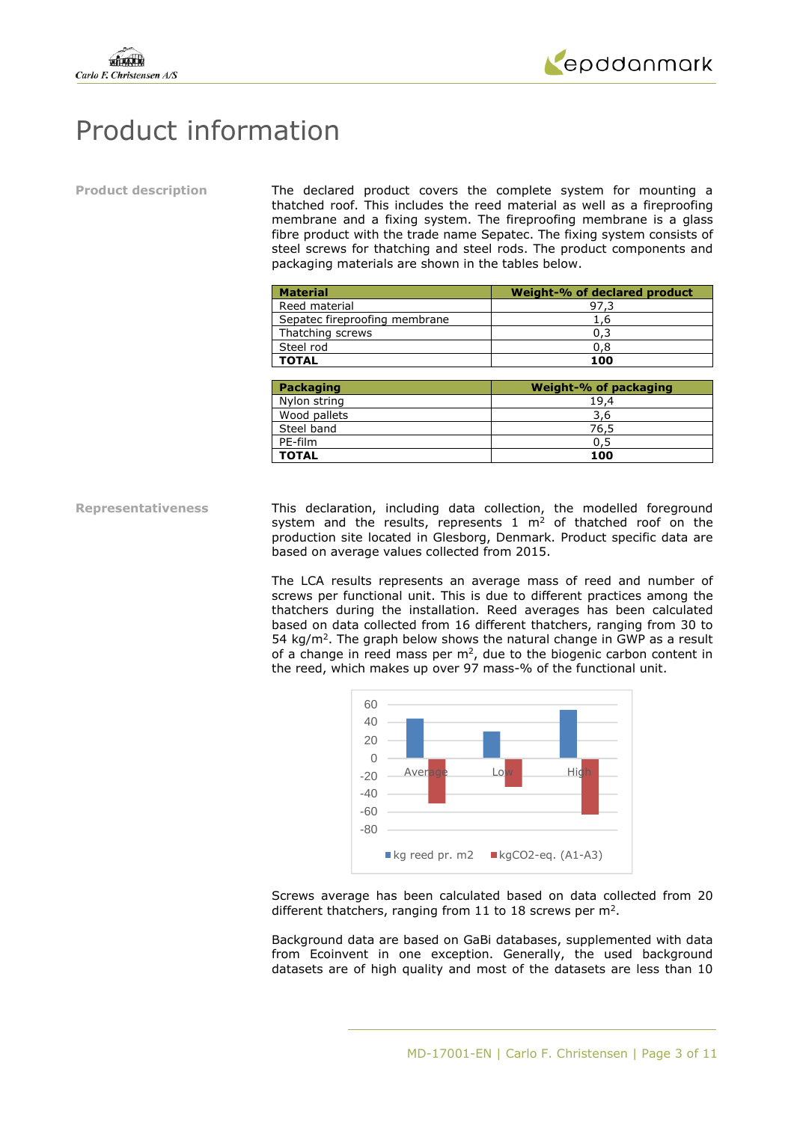



# Product information

**Product description** The declared product covers the complete system for mounting a thatched roof. This includes the reed material as well as a fireproofing membrane and a fixing system. The fireproofing membrane is a glass fibre product with the trade name Sepatec. The fixing system consists of steel screws for thatching and steel rods. The product components and packaging materials are shown in the tables below.

| <b>Material</b>               | Weight-% of declared product |
|-------------------------------|------------------------------|
| Reed material                 | 97,3                         |
| Sepatec fireproofing membrane | 1,6                          |
| Thatching screws              | 0,3                          |
| Steel rod                     | 0,8                          |
| <b>TOTAL</b>                  | 100                          |
|                               |                              |
| Packaging                     | <b>Weight-% of packaging</b> |
| Nylon string                  | 19,4                         |
| Wood pallets                  | 3,6                          |
| Steel band                    | 76,5                         |
| PE-film                       | 0,5                          |
| <b>TOTAL</b>                  | 100                          |

**Representativeness** This declaration, including data collection, the modelled foreground system and the results, represents  $1 \text{ m}^2$  of thatched roof on the production site located in Glesborg, Denmark. Product specific data are based on average values collected from 2015.

> The LCA results represents an average mass of reed and number of screws per functional unit. This is due to different practices among the thatchers during the installation. Reed averages has been calculated based on data collected from 16 different thatchers, ranging from 30 to  $54 \text{ kg/m}^2$ . The graph below shows the natural change in GWP as a result of a change in reed mass per  $m<sup>2</sup>$ , due to the biogenic carbon content in the reed, which makes up over 97 mass-% of the functional unit.



Screws average has been calculated based on data collected from 20 different thatchers, ranging from 11 to 18 screws per  $m^2$ .

Background data are based on GaBi databases, supplemented with data from Ecoinvent in one exception. Generally, the used background datasets are of high quality and most of the datasets are less than 10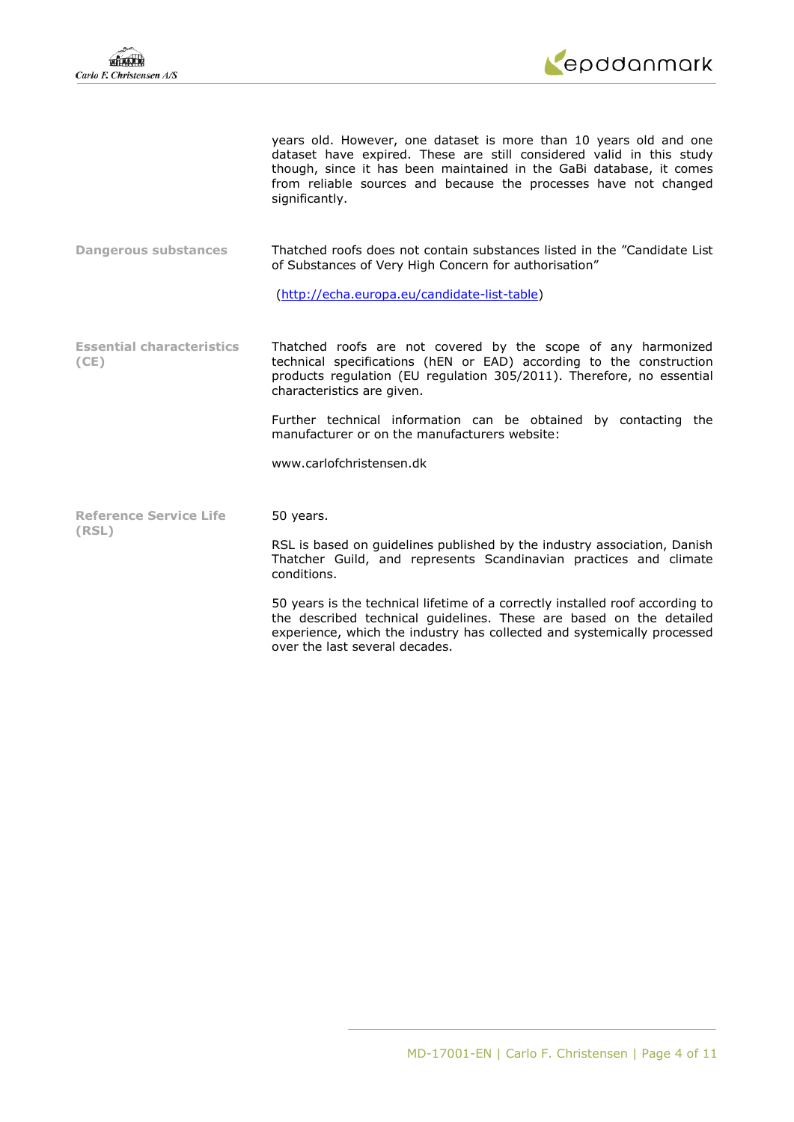

years old. However, one dataset is more than 10 years old and one dataset have expired. These are still considered valid in this study though, since it has been maintained in the GaBi database, it comes from reliable sources and because the processes have not changed significantly.

**Dangerous substances** Thatched roofs does not contain substances listed in the "Candidate List of Substances of Very High Concern for authorisation"

[\(http://echa.europa.eu/candidate-list-table\)](http://echa.europa.eu/candidate-list-table)

**Essential characteristics (CE)**  Thatched roofs are not covered by the scope of any harmonized technical specifications (hEN or EAD) according to the construction products regulation (EU regulation 305/2011). Therefore, no essential characteristics are given.

> Further technical information can be obtained by contacting the manufacturer or on the manufacturers website:

www.carlofchristensen.dk

50 years.

**Reference Service Life (RSL)** 

RSL is based on guidelines published by the industry association, Danish Thatcher Guild, and represents Scandinavian practices and climate conditions.

50 years is the technical lifetime of a correctly installed roof according to the described technical guidelines. These are based on the detailed experience, which the industry has collected and systemically processed over the last several decades.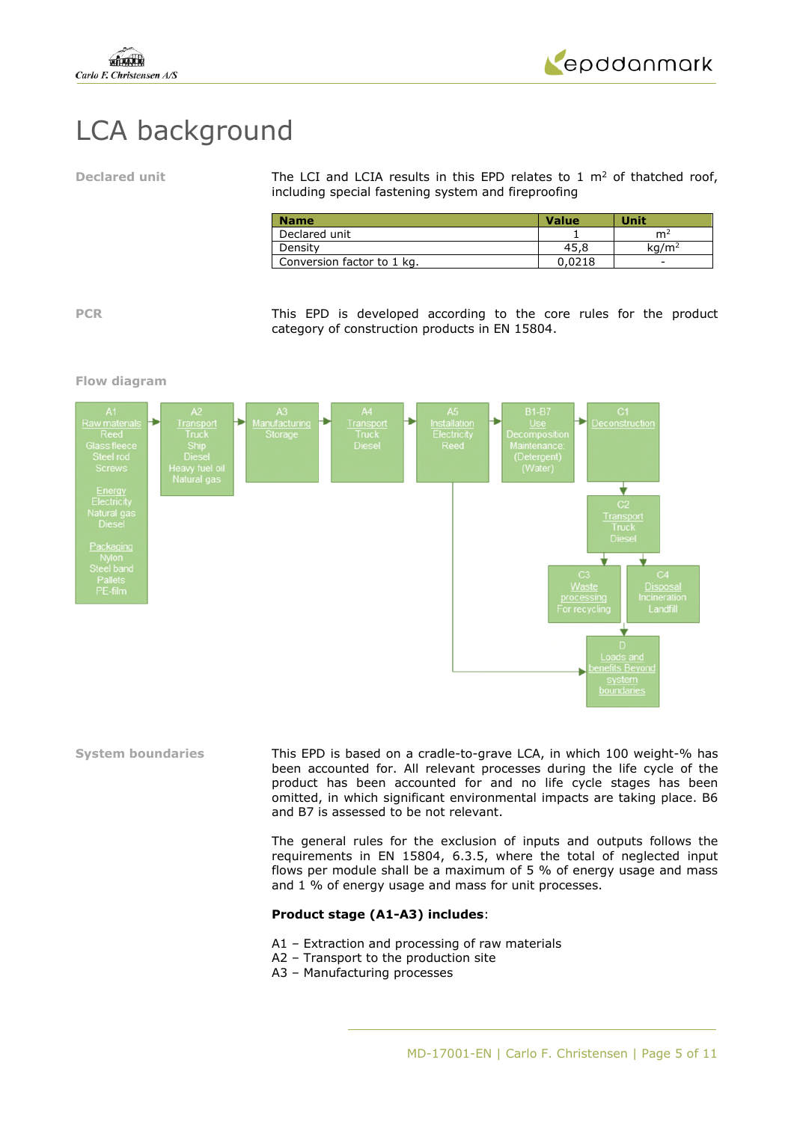

# LCA background

Declared unit **The LCI and LCIA results in this EPD relates to 1 m<sup>2</sup> of thatched roof,** including special fastening system and fireproofing

| <b>Name</b>                | <b>Value</b> | <b>Unit</b>              |
|----------------------------|--------------|--------------------------|
| Declared unit              |              | m                        |
| Density                    | 45.8         | ka/m²                    |
| Conversion factor to 1 kg. | 0.0218       | $\overline{\phantom{0}}$ |

**PCR** This EPD is developed according to the core rules for the product category of construction products in EN 15804.

### **Flow diagram**



**System boundaries** This EPD is based on a cradle-to-grave LCA, in which 100 weight-% has been accounted for. All relevant processes during the life cycle of the product has been accounted for and no life cycle stages has been omitted, in which significant environmental impacts are taking place. B6 and B7 is assessed to be not relevant.

> The general rules for the exclusion of inputs and outputs follows the requirements in EN 15804, 6.3.5, where the total of neglected input flows per module shall be a maximum of 5 % of energy usage and mass and 1 % of energy usage and mass for unit processes.

### **Product stage (A1-A3) includes**:

- A1 Extraction and processing of raw materials
- A2 Transport to the production site
- A3 Manufacturing processes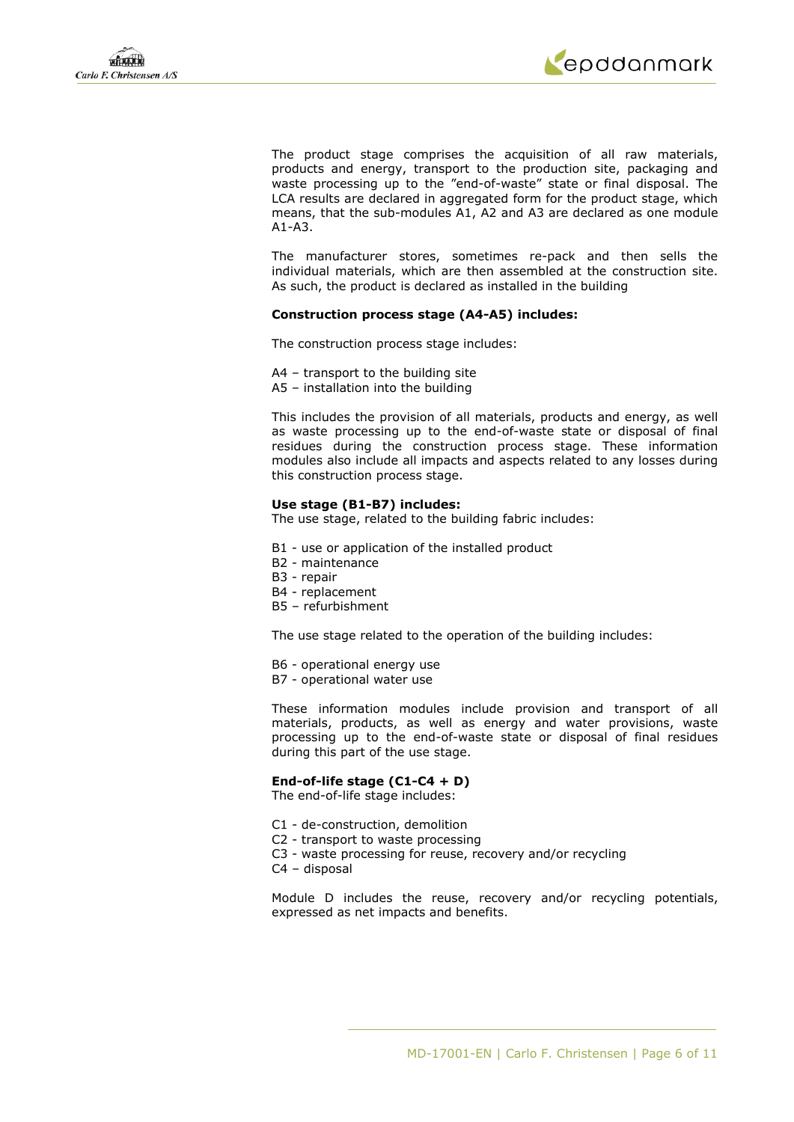

The product stage comprises the acquisition of all raw materials, products and energy, transport to the production site, packaging and waste processing up to the "end-of-waste" state or final disposal. The LCA results are declared in aggregated form for the product stage, which means, that the sub-modules A1, A2 and A3 are declared as one module A1-A3.

The manufacturer stores, sometimes re-pack and then sells the individual materials, which are then assembled at the construction site. As such, the product is declared as installed in the building

### **Construction process stage (A4-A5) includes:**

The construction process stage includes:

- A4 transport to the building site
- A5 installation into the building

This includes the provision of all materials, products and energy, as well as waste processing up to the end-of-waste state or disposal of final residues during the construction process stage. These information modules also include all impacts and aspects related to any losses during this construction process stage.

### **Use stage (B1-B7) includes:**

The use stage, related to the building fabric includes:

- B1 use or application of the installed product
- B2 maintenance
- B3 repair
- B4 replacement
- B5 refurbishment

The use stage related to the operation of the building includes:

- B6 operational energy use
- B7 operational water use

These information modules include provision and transport of all materials, products, as well as energy and water provisions, waste processing up to the end-of-waste state or disposal of final residues during this part of the use stage.

### **End-of-life stage (C1-C4 + D)**

The end-of-life stage includes:

- C1 de-construction, demolition
- C2 transport to waste processing
- C3 waste processing for reuse, recovery and/or recycling
- C4 disposal

Module D includes the reuse, recovery and/or recycling potentials, expressed as net impacts and benefits.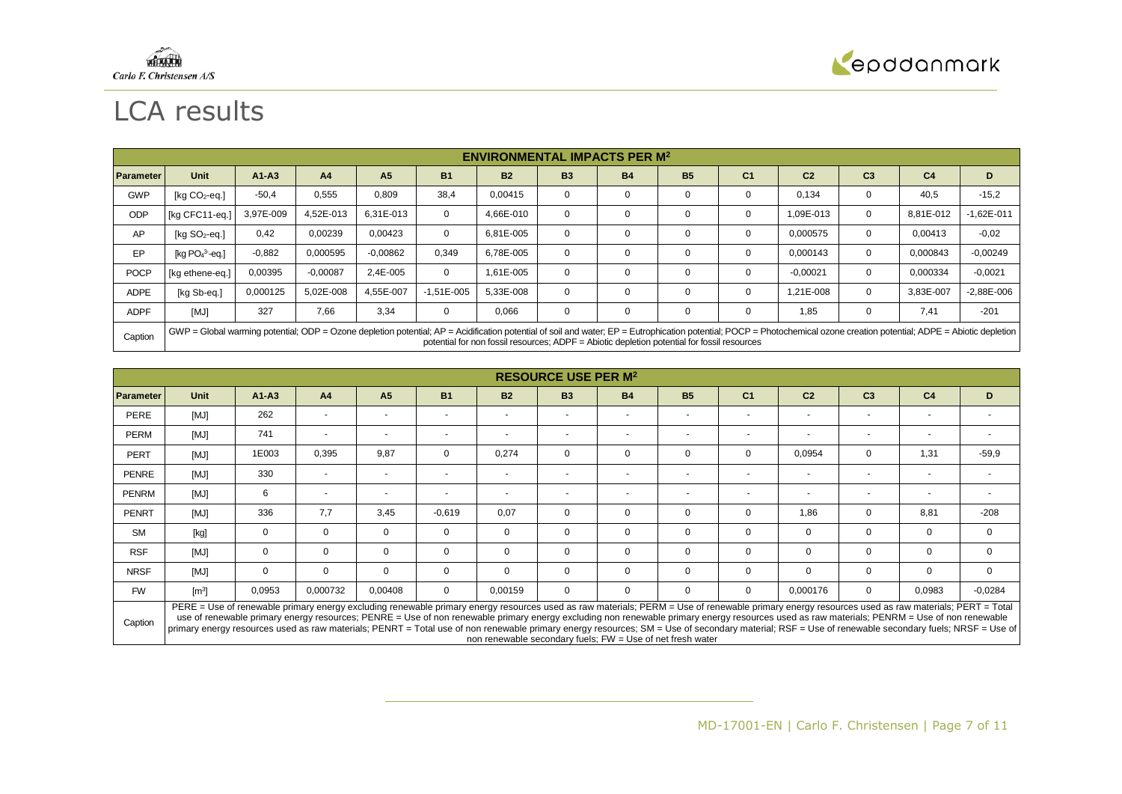



# LCA results

|                  | <b>ENVIRONMENTAL IMPACTS PER M<sup>2</sup></b>                                                                                                                                                                                                                                                                         |           |                |                |                |           |           |           |           |                |                |                |                |                |
|------------------|------------------------------------------------------------------------------------------------------------------------------------------------------------------------------------------------------------------------------------------------------------------------------------------------------------------------|-----------|----------------|----------------|----------------|-----------|-----------|-----------|-----------|----------------|----------------|----------------|----------------|----------------|
| <b>Parameter</b> | <b>Unit</b>                                                                                                                                                                                                                                                                                                            | $A1 - A3$ | A <sub>4</sub> | A <sub>5</sub> | <b>B1</b>      | <b>B2</b> | <b>B3</b> | <b>B4</b> | <b>B5</b> | C <sub>1</sub> | C <sub>2</sub> | C <sub>3</sub> | C <sub>4</sub> | D              |
| <b>GWP</b>       | [ $kg CO2$ -eq.]                                                                                                                                                                                                                                                                                                       | $-50,4$   | 0,555          | 0,809          | 38,4           | 0,00415   | 0         | 0         | 0         | 0              | 0,134          | 0              | 40,5           | $-15,2$        |
| ODP              | [kg CFC11-eg.]                                                                                                                                                                                                                                                                                                         | 3,97E-009 | 4.52E-013      | 6.31E-013      | $\Omega$       | 4,66E-010 | 0         | 0         | $\Omega$  | 0              | 1,09E-013      | $\mathbf 0$    | 8,81E-012      | $-1.62E - 011$ |
| AP               | $[ka SO2-eq.]$                                                                                                                                                                                                                                                                                                         | 0,42      | 0,00239        | 0,00423        | $\mathbf 0$    | 6,81E-005 | $\Omega$  | 0         | $\Omega$  | $\mathbf 0$    | 0.000575       | $\mathbf 0$    | 0,00413        | $-0.02$        |
| EP               | [kg $PO43$ -eg.]                                                                                                                                                                                                                                                                                                       | $-0.882$  | 0,000595       | $-0,00862$     | 0,349          | 6,78E-005 | 0         | 0         | 0         | 0              | 0,000143       | $\mathbf 0$    | 0,000843       | $-0,00249$     |
| <b>POCP</b>      | [kg ethene-eq.]                                                                                                                                                                                                                                                                                                        | 0,00395   | $-0.00087$     | 2,4E-005       | $\mathbf 0$    | 1.61E-005 | 0         | 0         | $\Omega$  | 0              | $-0,00021$     | $\mathbf 0$    | 0,000334       | $-0,0021$      |
| <b>ADPE</b>      | [kg Sb-eq.]                                                                                                                                                                                                                                                                                                            | 0,000125  | 5.02E-008      | 4,55E-007      | $-1.51E - 005$ | 5,33E-008 | 0         | 0         | 0         | 0              | 1,21E-008      | 0              | 3,83E-007      | $-2,88E-006$   |
| <b>ADPF</b>      | [MJ]                                                                                                                                                                                                                                                                                                                   | 327       | 7,66           | 3,34           | $\mathbf 0$    | 0,066     | 0         | 0         | 0         | 0              | 1,85           | 0              | 7.41           | $-201$         |
| Caption          | GWP = Global warming potential; ODP = Ozone depletion potential; AP = Acidification potential of soil and water; EP = Eutrophication potential; POCP = Photochemical ozone creation potential; ADPE = Abiotic depletion<br>potential for non fossil resources; ADPF = Abiotic depletion potential for fossil resources |           |                |                |                |           |           |           |           |                |                |                |                |                |

|                  | <b>RESOURCE USE PER M<sup>2</sup></b>                                                                                                                                                                                                                                                                                                                                                          |                |                |                          |                |                          |             |                          |                |                          |                          |                |                |           |
|------------------|------------------------------------------------------------------------------------------------------------------------------------------------------------------------------------------------------------------------------------------------------------------------------------------------------------------------------------------------------------------------------------------------|----------------|----------------|--------------------------|----------------|--------------------------|-------------|--------------------------|----------------|--------------------------|--------------------------|----------------|----------------|-----------|
| <b>Parameter</b> | <b>Unit</b>                                                                                                                                                                                                                                                                                                                                                                                    | $A1 - A3$      | A <sub>4</sub> | A <sub>5</sub>           | <b>B1</b>      | <b>B2</b>                | <b>B3</b>   | <b>B4</b>                | <b>B5</b>      | C <sub>1</sub>           | C <sub>2</sub>           | C <sub>3</sub> | C <sub>4</sub> | D         |
| PERE             | [MJ]                                                                                                                                                                                                                                                                                                                                                                                           | 262            |                | $\overline{\phantom{a}}$ | $\blacksquare$ | $\sim$                   |             | $\overline{\phantom{a}}$ |                | $\overline{\phantom{a}}$ | $\overline{\phantom{a}}$ |                |                |           |
| <b>PERM</b>      | [MJ]                                                                                                                                                                                                                                                                                                                                                                                           | 741            |                | $\overline{\phantom{a}}$ | $\overline{a}$ | $\overline{\phantom{a}}$ | $\sim$      | $\sim$                   | $\overline{a}$ | $\overline{\phantom{a}}$ | $\overline{\phantom{0}}$ | $\overline{a}$ |                |           |
| <b>PERT</b>      | [MJ]                                                                                                                                                                                                                                                                                                                                                                                           | 1E003          | 0,395          | 9,87                     | $\mathbf 0$    | 0,274                    | $\mathbf 0$ | 0                        | 0              | $\mathbf{0}$             | 0,0954                   | 0              | 1,31           | $-59.9$   |
| PENRE            | [MJ]                                                                                                                                                                                                                                                                                                                                                                                           | 330            |                | $\overline{\phantom{a}}$ | $\overline{a}$ | $\overline{\phantom{a}}$ | $\sim$      | $\overline{\phantom{a}}$ |                | $\overline{\phantom{a}}$ | $\overline{a}$           | $\overline{a}$ |                |           |
| <b>PENRM</b>     | [MJ]                                                                                                                                                                                                                                                                                                                                                                                           | 6              |                | $\overline{\phantom{a}}$ | $\overline{a}$ | $\overline{\phantom{a}}$ | $\sim$      | $\overline{\phantom{a}}$ |                | $\blacksquare$           | $\overline{a}$           |                |                |           |
| <b>PENRT</b>     | [MJ]                                                                                                                                                                                                                                                                                                                                                                                           | 336            | 7,7            | 3,45                     | $-0.619$       | 0,07                     | $\mathbf 0$ | 0                        | 0              | $\mathbf{0}$             | 1,86                     | 0              | 8,81           | $-208$    |
| <b>SM</b>        | [kg]                                                                                                                                                                                                                                                                                                                                                                                           | $\overline{0}$ | $\mathbf 0$    | $\mathbf 0$              | $\mathbf 0$    | $\mathbf 0$              | $\mathbf 0$ | $\mathbf 0$              | 0              | $\mathbf 0$              | $\mathbf 0$              | $\mathbf 0$    | 0              | $\Omega$  |
| <b>RSF</b>       | [MJ]                                                                                                                                                                                                                                                                                                                                                                                           | $\mathbf{0}$   | $\Omega$       | $\mathbf 0$              | $\mathbf 0$    | $\mathbf 0$              | $\mathbf 0$ | 0                        | 0              | $\mathbf 0$              | $\mathbf 0$              | $\mathbf 0$    | 0              | $\Omega$  |
| <b>NRSF</b>      | [MJ]                                                                                                                                                                                                                                                                                                                                                                                           | $\mathbf{0}$   | $\Omega$       | $\mathbf 0$              | $\mathbf 0$    | $\Omega$                 | $\Omega$    | $\mathbf 0$              | $\mathbf 0$    | $\mathbf{0}$             | $\mathbf 0$              | 0              | $\mathbf 0$    | $\Omega$  |
| <b>FW</b>        | $\lceil m^3 \rceil$                                                                                                                                                                                                                                                                                                                                                                            | 0,0953         | 0,000732       | 0,00408                  | $\mathbf 0$    | 0,00159                  | $\Omega$    | 0                        | $\Omega$       | $\mathbf{0}$             | 0,000176                 | 0              | 0,0983         | $-0.0284$ |
| $ -$             | PERE = Use of renewable primary energy excluding renewable primary energy resources used as raw materials; PERM = Use of renewable primary energy resources used as raw materials; PERT = Total<br>use of renewable primary energy resources: PENRE = Use of non renewable primary energy excluding non renewable primary energy resources used as raw materials: PENRM = Use of non renewable |                |                |                          |                |                          |             |                          |                |                          |                          |                |                |           |

Caption use of renewable primary energy resources; PENRE = Use of non renewable primary energy excluding non renewable primary energy resources used as raw materials; PENRM = Use of non renewable primary energy resources used as raw materials; PENRT = Total use of non renewable primary energy resources; SM = Use of secondary material; RSF = Use of renewable secondary fuels; NRSF = Use of non renewable secondary fuels; FW = Use of net fresh water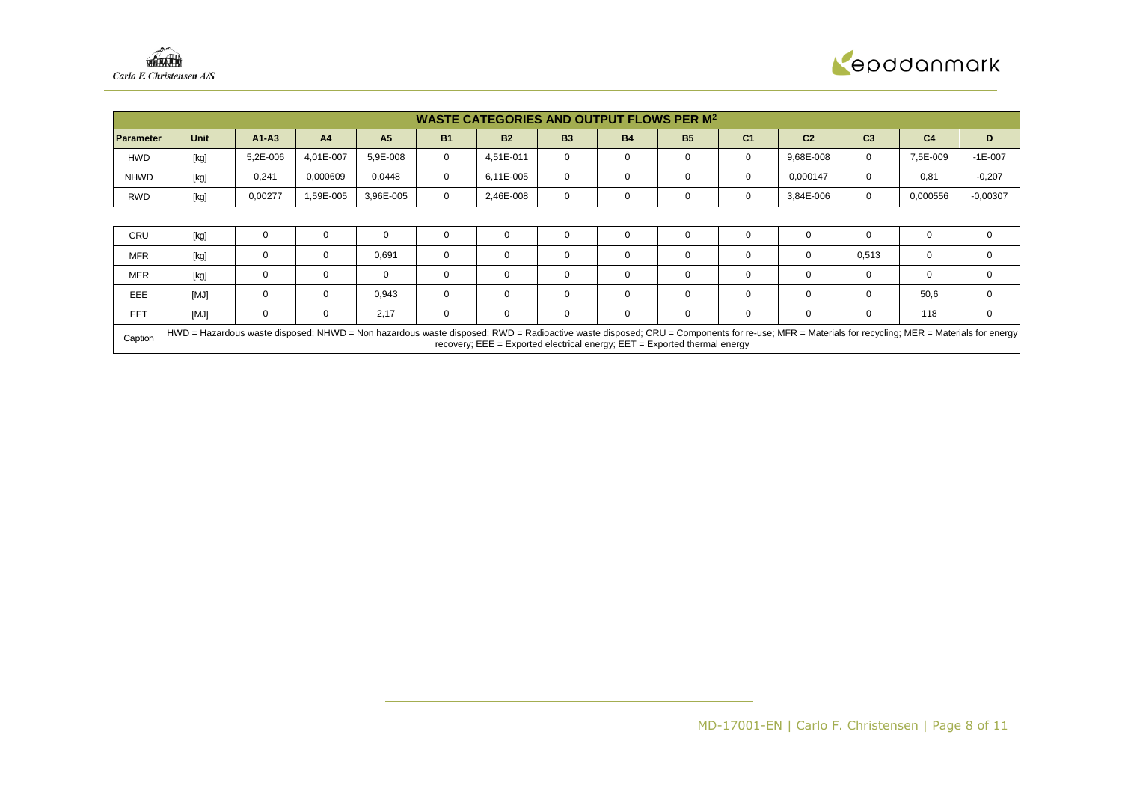

|                  | <b>WASTE CATEGORIES AND OUTPUT FLOWS PER M<sup>2</sup></b>                                                                                                                                                                                                                                 |           |                |                |             |             |             |             |           |                |                |                |                |              |
|------------------|--------------------------------------------------------------------------------------------------------------------------------------------------------------------------------------------------------------------------------------------------------------------------------------------|-----------|----------------|----------------|-------------|-------------|-------------|-------------|-----------|----------------|----------------|----------------|----------------|--------------|
| <b>Parameter</b> | <b>Unit</b>                                                                                                                                                                                                                                                                                | $A1 - A3$ | A <sub>4</sub> | A <sub>5</sub> | <b>B1</b>   | <b>B2</b>   | <b>B3</b>   | <b>B4</b>   | <b>B5</b> | C <sub>1</sub> | C <sub>2</sub> | C <sub>3</sub> | C <sub>4</sub> | D            |
| <b>HWD</b>       | [kg]                                                                                                                                                                                                                                                                                       | 5,2E-006  | 4.01E-007      | 5,9E-008       | $\mathbf 0$ | 4.51E-011   | $\mathbf 0$ | 0           | 0         | 0              | 9,68E-008      | 0              | 7,5E-009       | $-1E-007$    |
| <b>NHWD</b>      | [kg]                                                                                                                                                                                                                                                                                       | 0,241     | 0,000609       | 0,0448         | $\Omega$    | 6,11E-005   | $\Omega$    | 0           | 0         | $\mathbf 0$    | 0,000147       | 0              | 0,81           | $-0,207$     |
| RWD              | [kg]                                                                                                                                                                                                                                                                                       | 0,00277   | 1,59E-005      | 3,96E-005      | $\mathbf 0$ | 2,46E-008   | $\mathbf 0$ | 0           | 0         | 0              | 3,84E-006      | 0              | 0,000556       | $-0,00307$   |
|                  |                                                                                                                                                                                                                                                                                            |           |                |                |             |             |             |             |           |                |                |                |                |              |
| CRU              | [kg]                                                                                                                                                                                                                                                                                       |           | 0              | 0              | 0           | 0           | $\Omega$    | 0           | 0         | $\Omega$       |                |                | 0              |              |
| <b>MFR</b>       | [kg]                                                                                                                                                                                                                                                                                       | 0         | 0              | 0,691          | $\mathbf 0$ | $\mathbf 0$ | $\Omega$    | 0           | 0         | $\mathbf 0$    | $\mathbf 0$    | 0,513          | $\mathbf 0$    | 0            |
| <b>MER</b>       | [kg]                                                                                                                                                                                                                                                                                       | 0         | 0              | 0              | 0           | 0           | 0           | 0           | 0         | 0              | 0              | 0              | $\mathbf{0}$   | $\Omega$     |
| <b>EEE</b>       | [MJ]                                                                                                                                                                                                                                                                                       | 0         | 0              | 0,943          | $\mathbf 0$ | $\mathbf 0$ | $\Omega$    | 0           | 0         | 0              | $\Omega$       | 0              | 50,6           | $\mathbf 0$  |
| EET              | [MJ]                                                                                                                                                                                                                                                                                       | 0         | 0              | 2,17           | $\mathbf 0$ | $\mathbf 0$ | $\mathbf 0$ | $\mathbf 0$ | 0         | 0              | $\mathbf 0$    | 0              | 118            | $\mathbf{0}$ |
| Caption          | HWD = Hazardous waste disposed; NHWD = Non hazardous waste disposed; RWD = Radioactive waste disposed; CRU = Components for re-use; MFR = Materials for recycling; MER = Materials for redictional merry<br>recovery; $EEE = Exported electrical energy$ ; $EET = Exported thermal energy$ |           |                |                |             |             |             |             |           |                |                |                |                |              |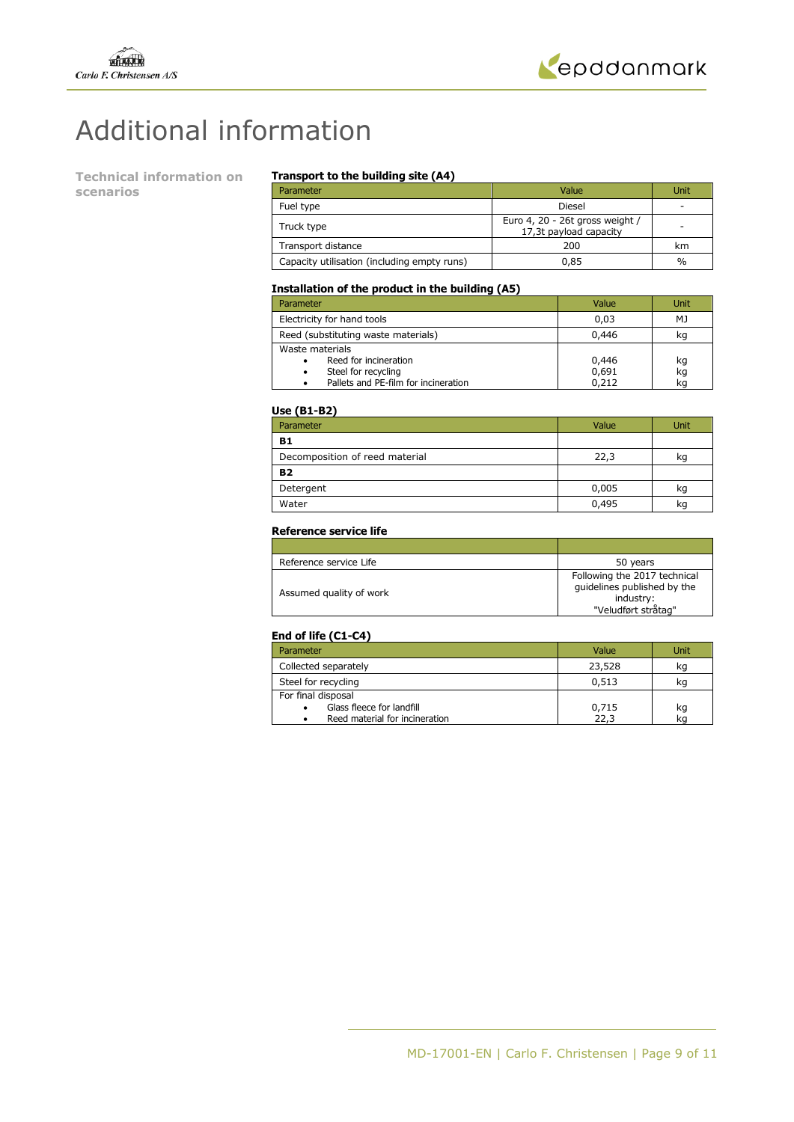



# Additional information

**Technical information on scenarios** 

### **Transport to the building site (A4)**

| Parameter                                   | Value                                                     | Unit |
|---------------------------------------------|-----------------------------------------------------------|------|
| Fuel type                                   | Diesel                                                    | -    |
| Truck type                                  | Euro 4, 20 - 26t gross weight /<br>17,3t payload capacity | -    |
| Transport distance                          | 200                                                       | km   |
| Capacity utilisation (including empty runs) | 0.85                                                      | $\%$ |

### **Installation of the product in the building (A5)**

| Parameter                                                                                                    | Value                   | Unit           |
|--------------------------------------------------------------------------------------------------------------|-------------------------|----------------|
| Electricity for hand tools                                                                                   | 0.03                    | МJ             |
| Reed (substituting waste materials)                                                                          | 0,446                   | kq             |
| Waste materials<br>Reed for incineration<br>Steel for recycling<br>٠<br>Pallets and PE-film for incineration | 0,446<br>0,691<br>0,212 | kg<br>kg<br>kq |

#### **Use (B1-B2)**

| Parameter                      | Value | Unit |
|--------------------------------|-------|------|
| <b>B1</b>                      |       |      |
| Decomposition of reed material | 22,3  | kq   |
| <b>B2</b>                      |       |      |
| Detergent                      | 0,005 | kq   |
| Water                          | 0,495 | ka   |

### **Reference service life**

| Reference service Life  | 50 years                                                                                        |
|-------------------------|-------------------------------------------------------------------------------------------------|
| Assumed quality of work | Following the 2017 technical<br>quidelines published by the<br>industry:<br>"Veludført stråtag" |

### **End of life (C1-C4)**

| Parameter                      | Value  | Unit |
|--------------------------------|--------|------|
| Collected separately           | 23,528 | kg   |
| Steel for recycling            | 0,513  | ĸq   |
| For final disposal             |        |      |
| Glass fleece for landfill<br>٠ | 0,715  | kq   |
| Reed material for incineration | 22.3   |      |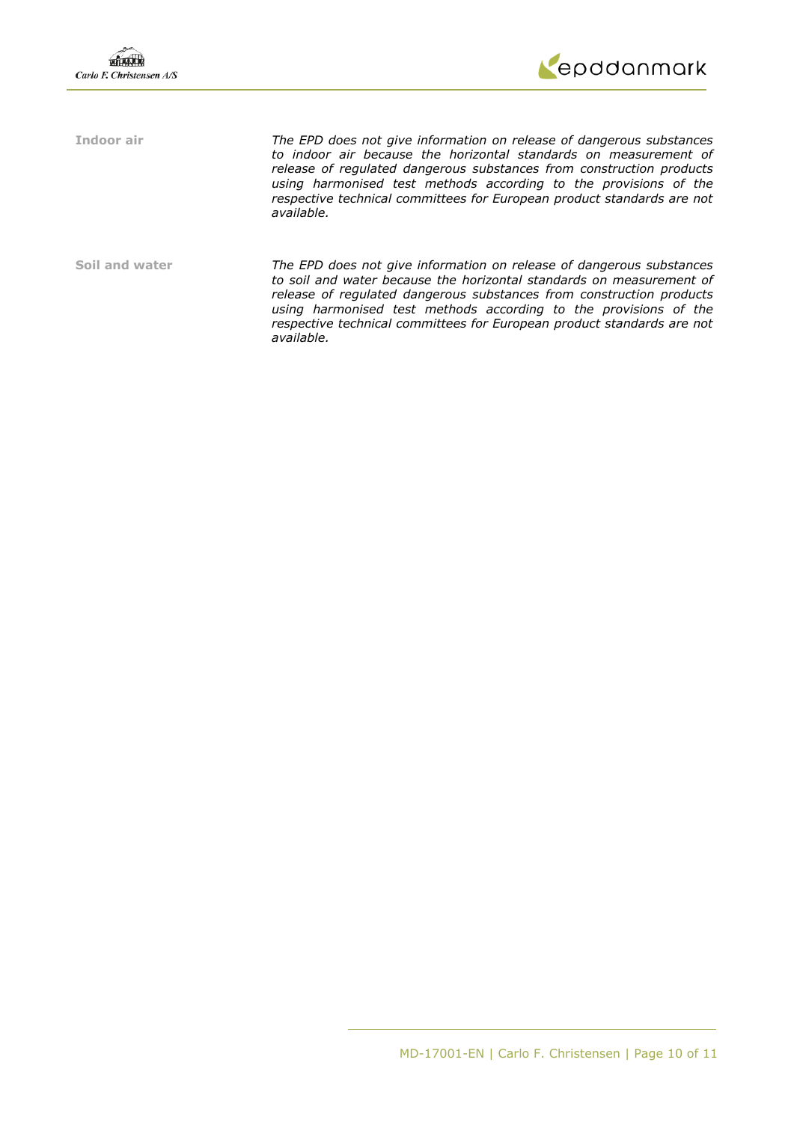

**Indoor air** *The EPD does not give information on release of dangerous substances to indoor air because the horizontal standards on measurement of release of regulated dangerous substances from construction products using harmonised test methods according to the provisions of the respective technical committees for European product standards are not available.* 

**Soil and water** *The EPD does not give information on release of dangerous substances to soil and water because the horizontal standards on measurement of release of regulated dangerous substances from construction products using harmonised test methods according to the provisions of the respective technical committees for European product standards are not available.*